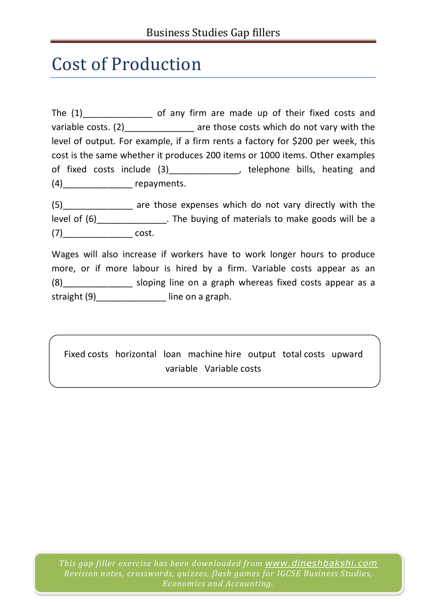## Cost of Production

The (1) of any firm are made up of their fixed costs and variable costs. (2) are those costs which do not vary with the level of output. For example, if a firm rents a factory for \$200 per week, this cost is the same whether it produces 200 items or 1000 items. Other examples of fixed costs include (3)\_\_\_\_\_\_\_\_\_\_\_\_\_\_\_, telephone bills, heating and (4)\_\_\_\_\_\_\_\_\_\_\_\_\_\_ repayments.

(5)\_\_\_\_\_\_\_\_\_\_\_\_\_\_ are those expenses which do not vary directly with the level of (6)\_\_\_\_\_\_\_\_\_\_\_\_\_\_\_\_. The buying of materials to make goods will be a (7)\_\_\_\_\_\_\_\_\_\_\_\_\_\_ cost.

Wages will also increase if workers have to work longer hours to produce more, or if more labour is hired by a firm. Variable costs appear as an (8)\_\_\_\_\_\_\_\_\_\_\_\_\_\_ sloping line on a graph whereas fixed costs appear as a straight (9)\_\_\_\_\_\_\_\_\_\_\_\_\_\_\_\_\_ line on a graph.

Fixed costs horizontal loan machine hire output total costs upward variable Variable costs

*This gap filler exercise has been downloaded from www.dineshbakshi.com Revision notes, crosswords, quizzes, flash games for IGCSE Business Studies, Economics and Accounting.*